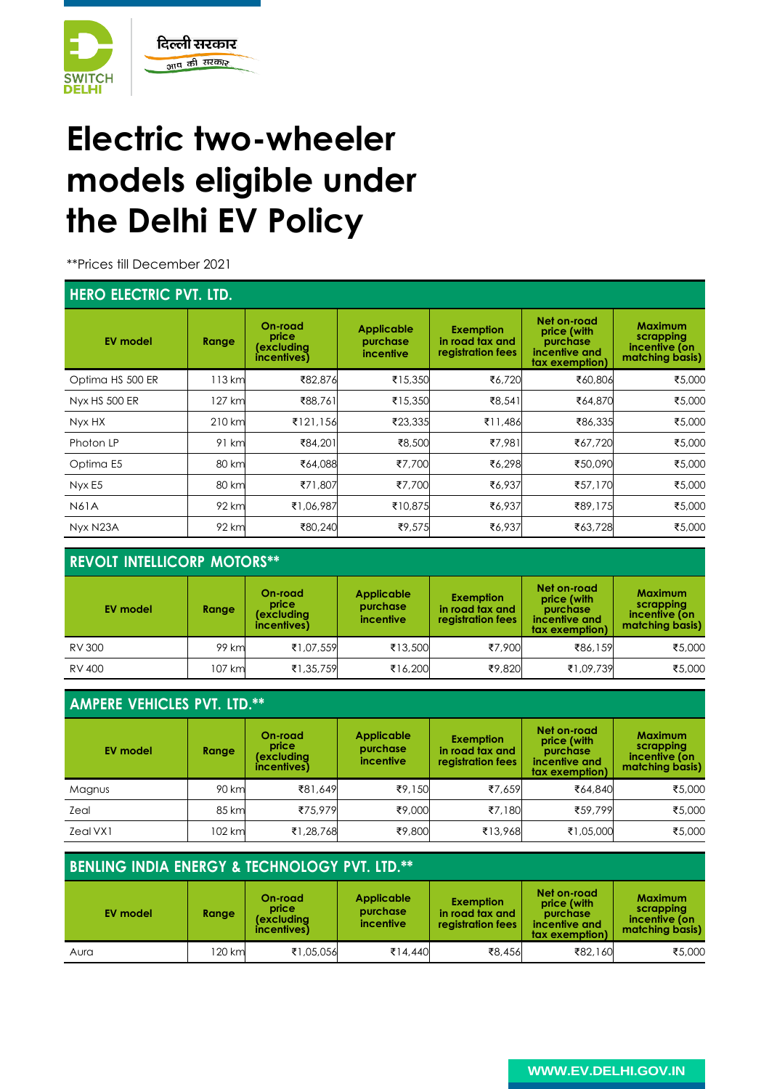

# **Electric two-wheeler models eligible under the Delhi EV Policy**

\*\*Prices till December 2021

### **HERO ELECTRIC PVT. LTD.**

| <b>NERU ELECTRIC FVT. LID.</b> |        |                                               |                                            |                                                          |                                                                           |                                                                 |  |  |  |
|--------------------------------|--------|-----------------------------------------------|--------------------------------------------|----------------------------------------------------------|---------------------------------------------------------------------------|-----------------------------------------------------------------|--|--|--|
| <b>EV model</b>                | Range  | On-road<br>price<br>(excluding<br>incentives) | Applicable<br>purchase<br><i>incentive</i> | <b>Exemption</b><br>in road tax and<br>registration fees | Net on-road<br>price (with<br>purchase<br>incentive and<br>tax exemption) | <b>Maximum</b><br>scrapping<br>incentive (on<br>matching basis) |  |  |  |
| Optima HS 500 ER               | 113 km | ₹82,876                                       | ₹15,350                                    | ₹6,720                                                   | ₹60,806                                                                   | ₹5,000                                                          |  |  |  |
| Nyx HS 500 ER                  | 127 km | ₹88,761                                       | ₹15,350                                    | ₹8,541                                                   | ₹64,870                                                                   | ₹5,000                                                          |  |  |  |
| Nyx HX                         | 210 km | ₹121,156                                      | ₹23,335                                    | ₹11,486                                                  | ₹86,335                                                                   | ₹5,000                                                          |  |  |  |
| Photon LP                      | 91 km  | ₹84,201                                       | ₹8,500                                     | ₹7,981                                                   | ₹67,720                                                                   | ₹5,000                                                          |  |  |  |
| Optima E5                      | 80 km  | ₹64,088                                       | ₹7.700                                     | ₹6,298                                                   | ₹50,090                                                                   | ₹5,000                                                          |  |  |  |
| Nyx E5                         | 80 km  | ₹71,807                                       | ₹7,700                                     | ₹6,937                                                   | ₹57,170                                                                   | ₹5,000                                                          |  |  |  |
| <b>N61A</b>                    | 92 km  | ₹1,06,987                                     | ₹10,875                                    | ₹6,937                                                   | ₹89,175                                                                   | ₹5,000                                                          |  |  |  |
| Nyx N23A                       | 92 km  | ₹80,240                                       | ₹9,575                                     | ₹6,937                                                   | ₹63,728                                                                   | ₹5,000                                                          |  |  |  |

### **REVOLT INTELLICORP MOTORS\*\***

| <b>EV model</b> | Range  | On-road<br>price<br>(excludina<br>incentives) | <b>Applicable</b><br>purchase<br>incentive | <b>Exemption</b><br>in road tax and<br>registration fees | Net on-road<br>price (with<br>purchase<br>incentive and<br>tax exemption) | <b>Maximum</b><br>scrapping<br>incentive (on<br>matching basis) |
|-----------------|--------|-----------------------------------------------|--------------------------------------------|----------------------------------------------------------|---------------------------------------------------------------------------|-----------------------------------------------------------------|
| RV 300          | 99 km  | ₹1,07,559                                     | ₹13,500                                    | ₹7,900                                                   | ₹86,159                                                                   | ₹5,000                                                          |
| RV 400          | 107 km | ₹1,35,759                                     | ₹16,200                                    | ₹9,820                                                   | ₹1,09,739                                                                 | ₹5,000                                                          |

| <b>AMPERE VEHICLES PVT. LTD.**</b> |        |                                               |                                                   |                                                          |                                                                           |                                                                 |  |  |
|------------------------------------|--------|-----------------------------------------------|---------------------------------------------------|----------------------------------------------------------|---------------------------------------------------------------------------|-----------------------------------------------------------------|--|--|
| <b>EV model</b>                    | Range  | On-road<br>price<br>(excluding<br>incentives) | <b>Applicable</b><br>purchase<br><i>incentive</i> | <b>Exemption</b><br>in road tax and<br>registration fees | Net on-road<br>price (with<br>purchase<br>incentive and<br>tax exemption) | <b>Maximum</b><br>scrapping<br>incentive (on<br>matching basis) |  |  |
| Magnus                             | 90 km  | ₹81,649                                       | ₹9,150                                            | ₹7.659                                                   | ₹64,840                                                                   | ₹5,000                                                          |  |  |
| Zeal                               | 85 km  | ₹75,979                                       | ₹9,000                                            | ₹7.180                                                   | ₹59,799                                                                   | ₹5,000                                                          |  |  |
| Zeal VX1                           | 102 km | ₹1,28,768                                     | ₹9,800                                            | ₹13,968                                                  | ₹1,05,000                                                                 | ₹5,000                                                          |  |  |

| <b>BENLING INDIA ENERGY &amp; TECHNOLOGY PVT. LTD.**</b> |       |                                               |                                            |                                                          |                                                                           |                                                                 |  |
|----------------------------------------------------------|-------|-----------------------------------------------|--------------------------------------------|----------------------------------------------------------|---------------------------------------------------------------------------|-----------------------------------------------------------------|--|
| <b>EV model</b>                                          | Range | On-road<br>price<br>(excludina<br>incentives) | <b>Applicable</b><br>purchase<br>incentive | <b>Exemption</b><br>in road tax and<br>registration fees | Net on-road<br>price (with<br>purchase<br>incentive and<br>tax exemption) | <b>Maximum</b><br>scrapping<br>incentive (on<br>matching basis) |  |
| Aura                                                     | 20 km | ₹1,05,056                                     | ₹14,440                                    | ₹8,456                                                   | ₹82,160                                                                   | ₹5,000                                                          |  |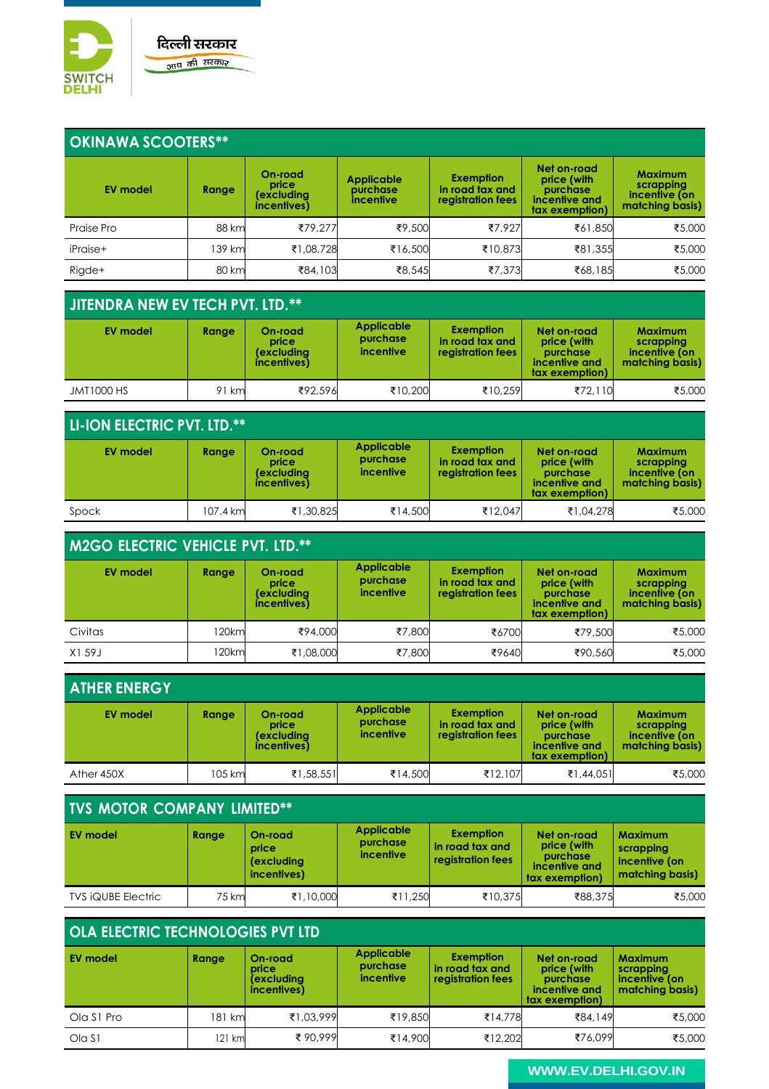

### **OKINAWA SCOOTERS\*\***

| <b>EV model</b> | Range  | On-road<br>price<br>(excludina<br>incentives) | <b>Applicable</b><br>purchase<br>incentive | Exemption<br>in road tax and<br>registration fees | Net on-road<br>price (with<br>purchase<br>incentive and<br>tax exemption) | <b>Maximum</b><br>scrapping<br>incentive (on<br>matching basis) |
|-----------------|--------|-----------------------------------------------|--------------------------------------------|---------------------------------------------------|---------------------------------------------------------------------------|-----------------------------------------------------------------|
| Praise Pro      | 88 km  | ₹79.277                                       | ₹9,500                                     | ₹7.927                                            | ₹61,850                                                                   | ₹5,000                                                          |
| iPraise+        | 139 km | ₹1,08,728                                     | ₹16,500                                    | ₹10.873                                           | ₹81,355                                                                   | ₹5,000                                                          |
| Rigde+          | 80 km  | ₹84,103                                       | ₹8,545                                     | ₹7,373                                            | ₹68,185                                                                   | ₹5,000                                                          |

### **JITENDRA NEW EV TECH PVT. LTD.\*\***

| EV model          | Range  | On-road<br>price<br>(excludina<br>incentives) | Applicable<br>purchase<br><i>incentive</i> | <b>Exemption</b><br>in road tax and<br>registration fees | Net on-road<br>price (with<br>purchase<br>incentive and<br>tax exemption) | <b>Maximum</b><br>scrapping<br>incentive (on<br>matching basis) |
|-------------------|--------|-----------------------------------------------|--------------------------------------------|----------------------------------------------------------|---------------------------------------------------------------------------|-----------------------------------------------------------------|
| <b>JMT1000 HS</b> | 91 kml | ₹92,596                                       | ₹10,200                                    | ₹10.259                                                  | ₹72.110                                                                   | ₹5,000                                                          |

### **LI-ION ELECTRIC PVT. LTD.\*\***

| <b>EV model</b> | Range    | On-road<br>price<br>(excludina<br>incentives) | Applicable<br>purchase<br><i>incentive</i> | <b>Exemption</b><br>in road tax and<br>registration fees | Net on-road<br>price (with<br>purchase<br>incentive and<br>tax exemption) | <b>Maximum</b><br>scrapping<br>incentive (on<br>matching basis) |
|-----------------|----------|-----------------------------------------------|--------------------------------------------|----------------------------------------------------------|---------------------------------------------------------------------------|-----------------------------------------------------------------|
| Spock           | 107.4 km | ₹1,30,825                                     | ₹14,500                                    | ₹12.047                                                  | ₹1,04,278                                                                 | ₹5,000                                                          |

#### **M2GO ELECTRIC VEHICLE PVT. LTD.\*\* EV model Range On-road price (excluding incentives) Applicable purchase incentive Exemption in road tax and registration fees Net on-road price (with purchase incentive and tax exemption) Maximum scrapping incentive (on matching basis)** Civitas 120km ₹94,000 ₹7,800 ₹6700 ₹79,500 ₹5,000 X1 59J | 120km| ₹1,08,000| ₹7,800| ₹96,40| ₹90,560| ₹5,000

| <b>ATHER ENERGY</b> |        |                                               |                                            |                                                          |                                                                           |                                                                 |
|---------------------|--------|-----------------------------------------------|--------------------------------------------|----------------------------------------------------------|---------------------------------------------------------------------------|-----------------------------------------------------------------|
| <b>EV model</b>     | Range  | On-road<br>price<br>(excludina<br>incentives) | <b>Applicable</b><br>purchase<br>incentive | <b>Exemption</b><br>in road tax and<br>registration fees | Net on-road<br>price (with<br>purchase<br>incentive and<br>tax exemption) | <b>Maximum</b><br>scrapping<br>incentive (on<br>matching basis) |
| Ather 450X          | 105 km | ₹1,58,551                                     | ₹14,500                                    | ₹12.107                                                  | ₹1,44,051                                                                 | ₹5,000                                                          |

### **TVS MOTOR COMPANY LIMITED\*\***

| <b>EV model</b>           | Range | On-road<br>price<br>(excluding<br>incentives) | <b>Applicable</b><br>purchase<br><i>incentive</i> | <b>Exemption</b><br>in road tax and<br>registration fees | Net on-road<br>price (with<br><b>purchase</b><br>incentive and<br>tax exemption) | <b>Maximum</b><br>scrapping<br>incentive (on<br>matching basis) |
|---------------------------|-------|-----------------------------------------------|---------------------------------------------------|----------------------------------------------------------|----------------------------------------------------------------------------------|-----------------------------------------------------------------|
| <b>TVS IQUBE Electric</b> | 75 km | ₹1,10,000                                     | ₹11,250                                           | ₹10,375                                                  | ₹88,375                                                                          | ₹5,000                                                          |

### **OLA ELECTRIC TECHNOLOGIES PVT LTD**

| <b>EV model</b> | Range   | On-road<br>price<br><i>(excluding</i><br>incentives) | <b>Applicable</b><br>purchase<br>incentive | <b>Exemption</b><br>in road tax and<br>registration fees | Net on-road<br>price (with<br>purchase<br>incentive and<br>tax exemption) | <b>Maximum</b><br>scrapping<br>incentive (on<br>matching basis) |
|-----------------|---------|------------------------------------------------------|--------------------------------------------|----------------------------------------------------------|---------------------------------------------------------------------------|-----------------------------------------------------------------|
| Ola S1 Pro      | 181 kml | ₹1,03,999                                            | ₹19,850                                    | ₹14,778                                                  | ₹84,149                                                                   | ₹5,000                                                          |
| Ola S1          | 121 kml | ₹90.999                                              | ₹14,900                                    | ₹12.202                                                  | ₹76.099                                                                   | ₹5,000                                                          |

### **[WWW.EV.DELHI.GOV.IN](http://www.ev.delhi.gov.in/)**